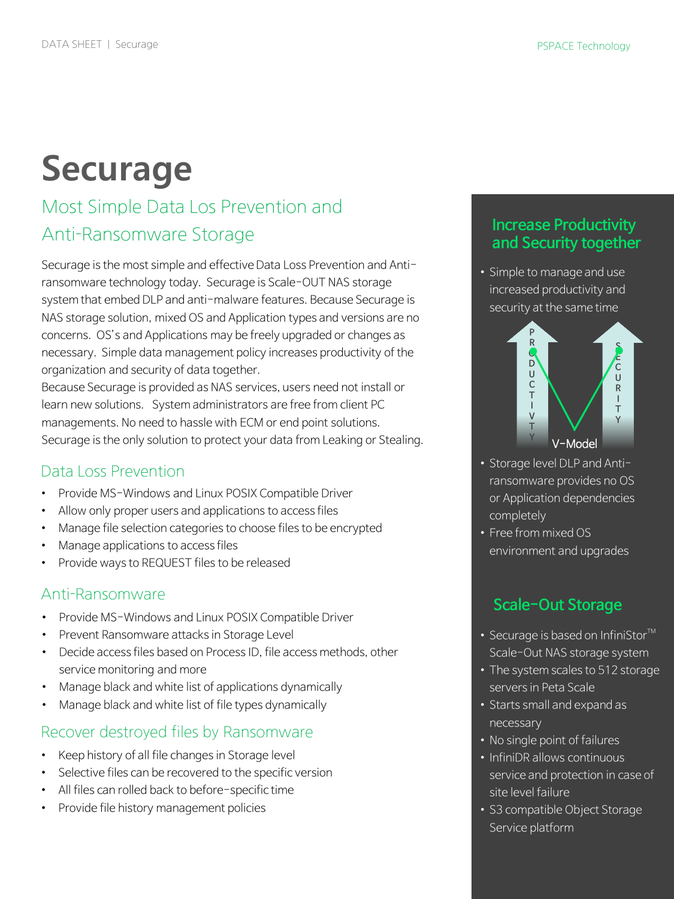# **Securage**

# Most Simple Data Los Prevention and Anti-Ransomware Storage

Securage is the most simple and effective Data Loss Prevention and Antiransomware technology today. Securage is Scale-OUT NAS storage system that embed DLP and anti-malware features. Because Securage is NAS storage solution, mixed OS and Application types and versions are no concerns. OS's and Applications may be freely upgraded or changes as necessary. Simple data management policy increases productivity of the organization and security of data together.

Because Securage is provided as NAS services, users need not install or learn new solutions. System administrators are free from client PC managements. No need to hassle with ECM or end point solutions. Securage is the only solution to protect your data from Leaking or Stealing.

### Data Loss Prevention

- Provide MS-Windows and Linux POSIX Compatible Driver
- Allow only proper users and applications to access files
- Manage file selection categories to choose files to be encrypted
- Manage applications to access files
- Provide ways to REQUEST files to be released

#### Anti-Ransomware

- Provide MS-Windows and Linux POSIX Compatible Driver
- Prevent Ransomware attacks in Storage Level
- Decide access files based on Process ID, file access methods, other service monitoring and more
- Manage black and white list of applications dynamically
- Manage black and white list of file types dynamically

#### Recover destroyed files by Ransomware

- Keep history of all file changes in Storage level
- Selective files can be recovered to the specific version
- All files can rolled back to before-specific time
- Provide file history management policies

#### **Increase Productivity and Security together**

• Simple to manage and use increased productivity and security at the same time



- Storage level DLP and Antiransomware provides no OS or Application dependencies completely
- Free from mixed OS environment and upgrades

# **Scale-Out Storage**

- Securage is based on InfiniStor $TM$ Scale-Out NAS storage system
- The system scales to 512 storage servers in Peta Scale
- Starts small and expand as necessary
- No single point of failures
- InfiniDR allows continuous service and protection in case of site level failure
- S3 compatible Object Storage Service platform